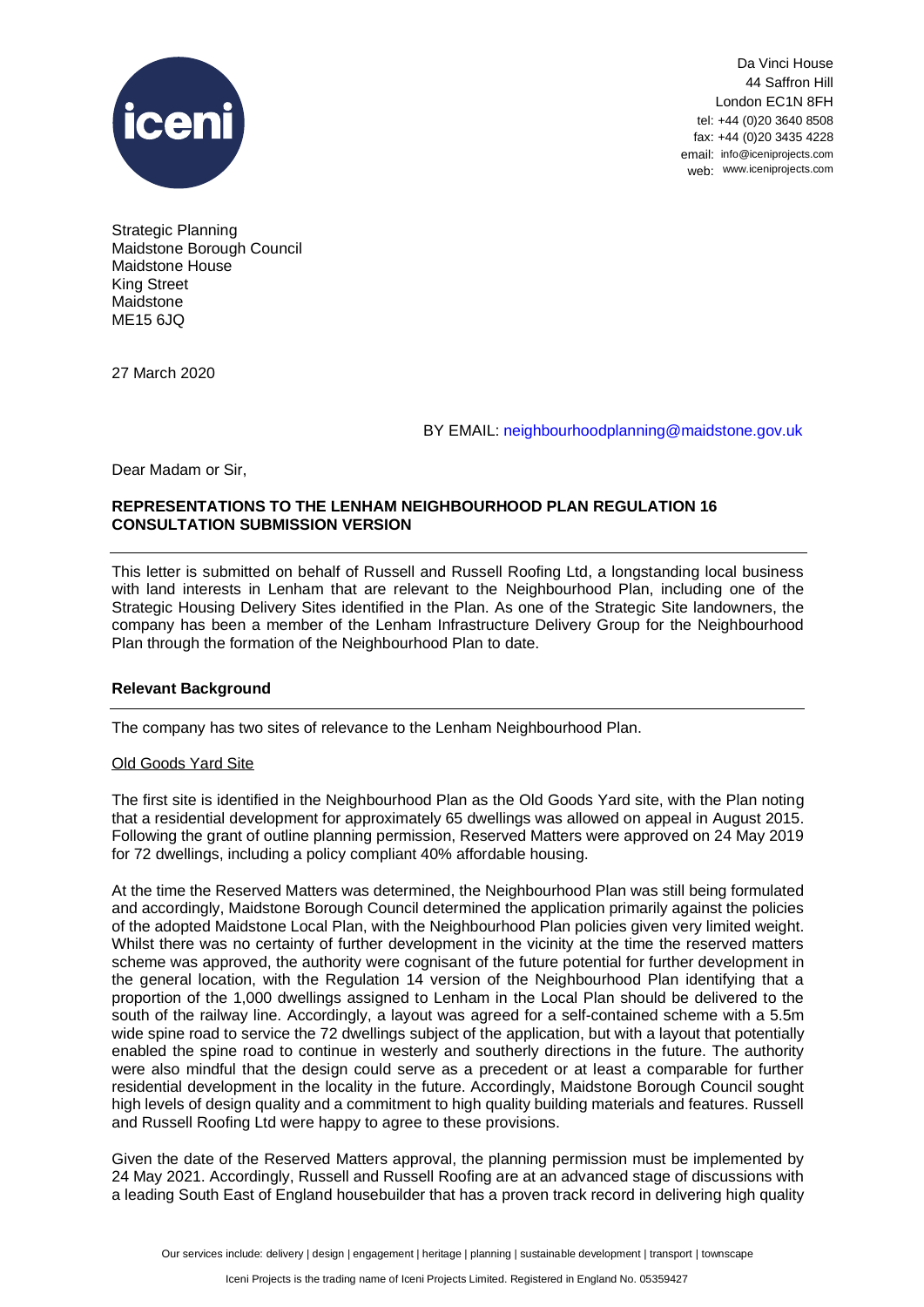

Da Vinci House 44 Saffron Hill London EC1N 8FH tel: +44 (0)20 3640 8508 fax: +44 (0)20 3435 4228 email: info@iceniprojects.com web: www.iceniprojects.com

Strategic Planning Maidstone Borough Council Maidstone House King Street Maidstone ME15 6JQ

27 March 2020

### BY EMAIL: neighbourhoodplanning@maidstone.gov.uk

Dear Madam or Sir,

# **REPRESENTATIONS TO THE LENHAM NEIGHBOURHOOD PLAN REGULATION 16 CONSULTATION SUBMISSION VERSION**

This letter is submitted on behalf of Russell and Russell Roofing Ltd, a longstanding local business with land interests in Lenham that are relevant to the Neighbourhood Plan, including one of the Strategic Housing Delivery Sites identified in the Plan. As one of the Strategic Site landowners, the company has been a member of the Lenham Infrastructure Delivery Group for the Neighbourhood Plan through the formation of the Neighbourhood Plan to date.

### **Relevant Background**

The company has two sites of relevance to the Lenham Neighbourhood Plan.

### Old Goods Yard Site

The first site is identified in the Neighbourhood Plan as the Old Goods Yard site, with the Plan noting that a residential development for approximately 65 dwellings was allowed on appeal in August 2015. Following the grant of outline planning permission, Reserved Matters were approved on 24 May 2019 for 72 dwellings, including a policy compliant 40% affordable housing.

At the time the Reserved Matters was determined, the Neighbourhood Plan was still being formulated and accordingly, Maidstone Borough Council determined the application primarily against the policies of the adopted Maidstone Local Plan, with the Neighbourhood Plan policies given very limited weight. Whilst there was no certainty of further development in the vicinity at the time the reserved matters scheme was approved, the authority were cognisant of the future potential for further development in the general location, with the Regulation 14 version of the Neighbourhood Plan identifying that a proportion of the 1,000 dwellings assigned to Lenham in the Local Plan should be delivered to the south of the railway line. Accordingly, a layout was agreed for a self-contained scheme with a 5.5m wide spine road to service the 72 dwellings subject of the application, but with a layout that potentially enabled the spine road to continue in westerly and southerly directions in the future. The authority were also mindful that the design could serve as a precedent or at least a comparable for further residential development in the locality in the future. Accordingly, Maidstone Borough Council sought high levels of design quality and a commitment to high quality building materials and features. Russell and Russell Roofing Ltd were happy to agree to these provisions.

Given the date of the Reserved Matters approval, the planning permission must be implemented by 24 May 2021. Accordingly, Russell and Russell Roofing are at an advanced stage of discussions with a leading South East of England housebuilder that has a proven track record in delivering high quality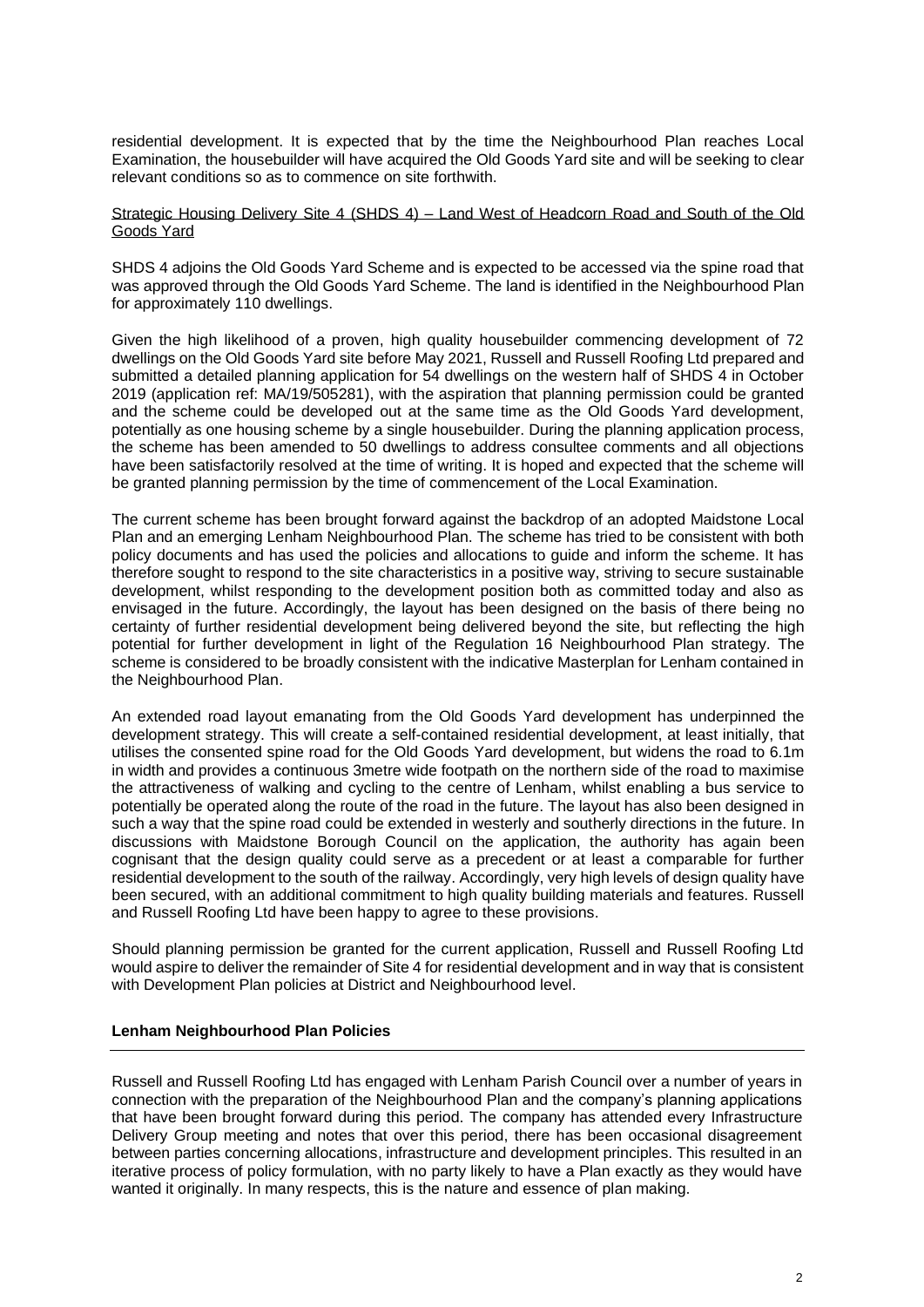residential development. It is expected that by the time the Neighbourhood Plan reaches Local Examination, the housebuilder will have acquired the Old Goods Yard site and will be seeking to clear relevant conditions so as to commence on site forthwith.

## Strategic Housing Delivery Site 4 (SHDS 4) – Land West of Headcorn Road and South of the Old Goods Yard

SHDS 4 adjoins the Old Goods Yard Scheme and is expected to be accessed via the spine road that was approved through the Old Goods Yard Scheme. The land is identified in the Neighbourhood Plan for approximately 110 dwellings.

Given the high likelihood of a proven, high quality housebuilder commencing development of 72 dwellings on the Old Goods Yard site before May 2021, Russell and Russell Roofing Ltd prepared and submitted a detailed planning application for 54 dwellings on the western half of SHDS 4 in October 2019 (application ref: MA/19/505281), with the aspiration that planning permission could be granted and the scheme could be developed out at the same time as the Old Goods Yard development, potentially as one housing scheme by a single housebuilder. During the planning application process, the scheme has been amended to 50 dwellings to address consultee comments and all objections have been satisfactorily resolved at the time of writing. It is hoped and expected that the scheme will be granted planning permission by the time of commencement of the Local Examination.

The current scheme has been brought forward against the backdrop of an adopted Maidstone Local Plan and an emerging Lenham Neighbourhood Plan. The scheme has tried to be consistent with both policy documents and has used the policies and allocations to guide and inform the scheme. It has therefore sought to respond to the site characteristics in a positive way, striving to secure sustainable development, whilst responding to the development position both as committed today and also as envisaged in the future. Accordingly, the layout has been designed on the basis of there being no certainty of further residential development being delivered beyond the site, but reflecting the high potential for further development in light of the Regulation 16 Neighbourhood Plan strategy. The scheme is considered to be broadly consistent with the indicative Masterplan for Lenham contained in the Neighbourhood Plan.

An extended road layout emanating from the Old Goods Yard development has underpinned the development strategy. This will create a self-contained residential development, at least initially, that utilises the consented spine road for the Old Goods Yard development, but widens the road to 6.1m in width and provides a continuous 3metre wide footpath on the northern side of the road to maximise the attractiveness of walking and cycling to the centre of Lenham, whilst enabling a bus service to potentially be operated along the route of the road in the future. The layout has also been designed in such a way that the spine road could be extended in westerly and southerly directions in the future. In discussions with Maidstone Borough Council on the application, the authority has again been cognisant that the design quality could serve as a precedent or at least a comparable for further residential development to the south of the railway. Accordingly, very high levels of design quality have been secured, with an additional commitment to high quality building materials and features. Russell and Russell Roofing Ltd have been happy to agree to these provisions.

Should planning permission be granted for the current application, Russell and Russell Roofing Ltd would aspire to deliver the remainder of Site 4 for residential development and in way that is consistent with Development Plan policies at District and Neighbourhood level.

### **Lenham Neighbourhood Plan Policies**

Russell and Russell Roofing Ltd has engaged with Lenham Parish Council over a number of years in connection with the preparation of the Neighbourhood Plan and the company's planning applications that have been brought forward during this period. The company has attended every Infrastructure Delivery Group meeting and notes that over this period, there has been occasional disagreement between parties concerning allocations, infrastructure and development principles. This resulted in an iterative process of policy formulation, with no party likely to have a Plan exactly as they would have wanted it originally. In many respects, this is the nature and essence of plan making.